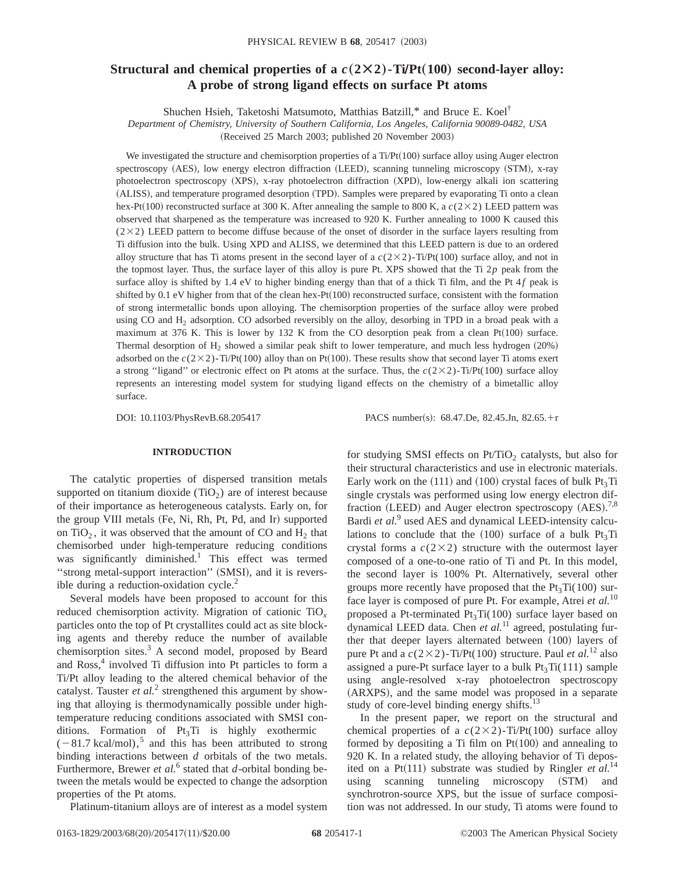# **Structural and chemical properties of a**  $c(2\times2)$ -Ti/Pt(100) second-layer alloy: **A probe of strong ligand effects on surface Pt atoms**

Shuchen Hsieh, Taketoshi Matsumoto, Matthias Batzill,\* and Bruce E. Koel†

*Department of Chemistry, University of Southern California, Los Angeles, California 90089-0482, USA* (Received 25 March 2003; published 20 November 2003)

We investigated the structure and chemisorption properties of a Ti/Pt $(100)$  surface alloy using Auger electron spectroscopy (AES), low energy electron diffraction (LEED), scanning tunneling microscopy (STM), x-ray photoelectron spectroscopy (XPS), x-ray photoelectron diffraction (XPD), low-energy alkali ion scattering (ALISS), and temperature programed desorption (TPD). Samples were prepared by evaporating Ti onto a clean hex-Pt(100) reconstructed surface at 300 K. After annealing the sample to 800 K, a  $c(2\times2)$  LEED pattern was observed that sharpened as the temperature was increased to 920 K. Further annealing to 1000 K caused this  $(2\times2)$  LEED pattern to become diffuse because of the onset of disorder in the surface layers resulting from Ti diffusion into the bulk. Using XPD and ALISS, we determined that this LEED pattern is due to an ordered alloy structure that has Ti atoms present in the second layer of a  $c(2\times2)$ -Ti/Pt(100) surface alloy, and not in the topmost layer. Thus, the surface layer of this alloy is pure Pt. XPS showed that the Ti 2*p* peak from the surface alloy is shifted by 1.4 eV to higher binding energy than that of a thick Ti film, and the Pt  $4f$  peak is shifted by  $0.1$  eV higher from that of the clean hex-Pt $(100)$  reconstructed surface, consistent with the formation of strong intermetallic bonds upon alloying. The chemisorption properties of the surface alloy were probed using CO and H<sub>2</sub> adsorption. CO adsorbed reversibly on the alloy, desorbing in TPD in a broad peak with a maximum at 376 K. This is lower by 132 K from the CO desorption peak from a clean Pt $(100)$  surface. Thermal desorption of  $H_2$  showed a similar peak shift to lower temperature, and much less hydrogen  $(20%)$ adsorbed on the  $c(2\times2)$ -Ti/Pt(100) alloy than on Pt(100). These results show that second layer Ti atoms exert a strong "ligand" or electronic effect on Pt atoms at the surface. Thus, the  $c(2\times2)$ -Ti/Pt(100) surface alloy represents an interesting model system for studying ligand effects on the chemistry of a bimetallic alloy surface.

DOI: 10.1103/PhysRevB.68.205417 PACS number(s): 68.47.De, 82.45.Jn, 82.65.+r

#### **INTRODUCTION**

The catalytic properties of dispersed transition metals supported on titanium dioxide  $(TiO<sub>2</sub>)$  are of interest because of their importance as heterogeneous catalysts. Early on, for the group VIII metals (Fe, Ni, Rh, Pt, Pd, and Ir) supported on TiO<sub>2</sub>, it was observed that the amount of CO and  $H_2$  that chemisorbed under high-temperature reducing conditions was significantly diminished.<sup>1</sup> This effect was termed "strong metal-support interaction" (SMSI), and it is reversible during a reduction-oxidation cycle. $<sup>2</sup>$ </sup>

Several models have been proposed to account for this reduced chemisorption activity. Migration of cationic TiO*<sup>x</sup>* particles onto the top of Pt crystallites could act as site blocking agents and thereby reduce the number of available chemisorption sites. $3$  A second model, proposed by Beard and Ross,<sup>4</sup> involved Ti diffusion into Pt particles to form a Ti/Pt alloy leading to the altered chemical behavior of the catalyst. Tauster *et al.*<sup>2</sup> strengthened this argument by showing that alloying is thermodynamically possible under hightemperature reducing conditions associated with SMSI conditions. Formation of  $Pt_3Ti$  is highly exothermic  $(-81.7 \text{ kcal/mol})$ ,<sup>5</sup> and this has been attributed to strong binding interactions between *d* orbitals of the two metals. Furthermore, Brewer *et al.*<sup>6</sup> stated that *d*-orbital bonding between the metals would be expected to change the adsorption properties of the Pt atoms.

Platinum-titanium alloys are of interest as a model system

for studying SMSI effects on  $Pt/TiO<sub>2</sub>$  catalysts, but also for their structural characteristics and use in electronic materials. Early work on the  $(111)$  and  $(100)$  crystal faces of bulk Pt<sub>3</sub>Ti single crystals was performed using low energy electron diffraction (LEED) and Auger electron spectroscopy  $(AES).^{7,8}$ Bardi *et al.*<sup>9</sup> used AES and dynamical LEED-intensity calculations to conclude that the  $(100)$  surface of a bulk Pt<sub>3</sub>Ti crystal forms a  $c(2\times2)$  structure with the outermost layer composed of a one-to-one ratio of Ti and Pt. In this model, the second layer is 100% Pt. Alternatively, several other groups more recently have proposed that the  $Pt_3Ti(100)$  surface layer is composed of pure Pt. For example, Atrei *et al.*<sup>10</sup> proposed a Pt-terminated  $Pt_3Ti(100)$  surface layer based on dynamical LEED data. Chen *et al.*<sup>11</sup> agreed, postulating further that deeper layers alternated between  $(100)$  layers of pure Pt and a  $c(2\times2)$ -Ti/Pt(100) structure. Paul *et al.*<sup>12</sup> also assigned a pure-Pt surface layer to a bulk  $Pt_3Ti(111)$  sample using angle-resolved x-ray photoelectron spectroscopy (ARXPS), and the same model was proposed in a separate study of core-level binding energy shifts.<sup>13</sup>

In the present paper, we report on the structural and chemical properties of a  $c(2\times2)$ -Ti/Pt(100) surface alloy formed by depositing a Ti film on  $Pt(100)$  and annealing to 920 K. In a related study, the alloying behavior of Ti deposited on a Pt $(111)$  substrate was studied by Ringler *et al.*<sup>14</sup> using scanning tunneling microscopy (STM) and synchrotron-source XPS, but the issue of surface composition was not addressed. In our study, Ti atoms were found to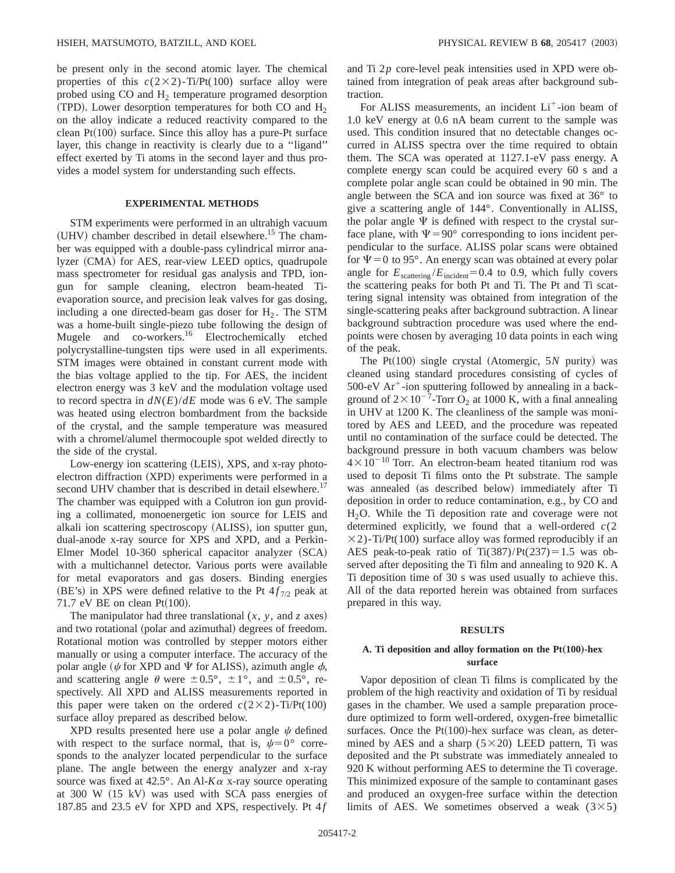be present only in the second atomic layer. The chemical properties of this  $c(2\times2)$ -Ti/Pt(100) surface alloy were probed using  $CO$  and  $H<sub>2</sub>$  temperature programed desorption  $(TPD)$ . Lower desorption temperatures for both CO and H<sub>2</sub> on the alloy indicate a reduced reactivity compared to the clean  $Pt(100)$  surface. Since this alloy has a pure-Pt surface layer, this change in reactivity is clearly due to a ''ligand'' effect exerted by Ti atoms in the second layer and thus provides a model system for understanding such effects.

#### **EXPERIMENTAL METHODS**

STM experiments were performed in an ultrahigh vacuum  $(UHV)$  chamber described in detail elsewhere.<sup>15</sup> The chamber was equipped with a double-pass cylindrical mirror analyzer (CMA) for AES, rear-view LEED optics, quadrupole mass spectrometer for residual gas analysis and TPD, iongun for sample cleaning, electron beam-heated Tievaporation source, and precision leak valves for gas dosing, including a one directed-beam gas doser for  $H_2$ . The STM was a home-built single-piezo tube following the design of Mugele and co-workers.<sup>16</sup> Electrochemically etched polycrystalline-tungsten tips were used in all experiments. STM images were obtained in constant current mode with the bias voltage applied to the tip. For AES, the incident electron energy was 3 keV and the modulation voltage used to record spectra in  $dN(E)/dE$  mode was 6 eV. The sample was heated using electron bombardment from the backside of the crystal, and the sample temperature was measured with a chromel/alumel thermocouple spot welded directly to the side of the crystal.

Low-energy ion scattering (LEIS), XPS, and x-ray photoelectron diffraction (XPD) experiments were performed in a second UHV chamber that is described in detail elsewhere.<sup>17</sup> The chamber was equipped with a Colutron ion gun providing a collimated, monoenergetic ion source for LEIS and alkali ion scattering spectroscopy (ALISS), ion sputter gun, dual-anode x-ray source for XPS and XPD, and a Perkin-Elmer Model 10-360 spherical capacitor analyzer (SCA) with a multichannel detector. Various ports were available for metal evaporators and gas dosers. Binding energies (BE's) in XPS were defined relative to the Pt  $4 f_{7/2}$  peak at 71.7 eV BE on clean  $Pt(100)$ .

The manipulator had three translational  $(x, y, \text{ and } z \text{ axes})$ and two rotational (polar and azimuthal) degrees of freedom. Rotational motion was controlled by stepper motors either manually or using a computer interface. The accuracy of the polar angle ( $\psi$  for XPD and  $\Psi$  for ALISS), azimuth angle  $\phi$ , and scattering angle  $\theta$  were  $\pm 0.5^{\circ}$ ,  $\pm 1^{\circ}$ , and  $\pm 0.5^{\circ}$ , respectively. All XPD and ALISS measurements reported in this paper were taken on the ordered  $c(2\times2)$ -Ti/Pt(100) surface alloy prepared as described below.

XPD results presented here use a polar angle  $\psi$  defined with respect to the surface normal, that is,  $\psi = 0^{\circ}$  corresponds to the analyzer located perpendicular to the surface plane. The angle between the energy analyzer and x-ray source was fixed at  $42.5^{\circ}$ . An Al- $K\alpha$  x-ray source operating at  $300 \text{ W}$  (15 kV) was used with SCA pass energies of 187.85 and 23.5 eV for XPD and XPS, respectively. Pt 4 *f* and Ti 2*p* core-level peak intensities used in XPD were obtained from integration of peak areas after background subtraction.

For ALISS measurements, an incident  $Li<sup>+</sup>$ -ion beam of 1.0 keV energy at 0.6 nA beam current to the sample was used. This condition insured that no detectable changes occurred in ALISS spectra over the time required to obtain them. The SCA was operated at 1127.1-eV pass energy. A complete energy scan could be acquired every 60 s and a complete polar angle scan could be obtained in 90 min. The angle between the SCA and ion source was fixed at 36° to give a scattering angle of 144°. Conventionally in ALISS, the polar angle  $\Psi$  is defined with respect to the crystal surface plane, with  $\Psi = 90^\circ$  corresponding to ions incident perpendicular to the surface. ALISS polar scans were obtained for  $\Psi$  = 0 to 95°. An energy scan was obtained at every polar angle for  $E_{\text{scattering}}/E_{\text{incident}}=0.4$  to 0.9, which fully covers the scattering peaks for both Pt and Ti. The Pt and Ti scattering signal intensity was obtained from integration of the single-scattering peaks after background subtraction. A linear background subtraction procedure was used where the endpoints were chosen by averaging 10 data points in each wing of the peak.

The  $Pt(100)$  single crystal (Atomergic, 5*N* purity) was cleaned using standard procedures consisting of cycles of  $500$ -eV Ar<sup>+</sup>-ion sputtering followed by annealing in a background of  $2 \times 10^{-7}$ -Torr O<sub>2</sub> at 1000 K, with a final annealing in UHV at 1200 K. The cleanliness of the sample was monitored by AES and LEED, and the procedure was repeated until no contamination of the surface could be detected. The background pressure in both vacuum chambers was below  $4\times10^{-10}$  Torr. An electron-beam heated titanium rod was used to deposit Ti films onto the Pt substrate. The sample was annealed (as described below) immediately after Ti deposition in order to reduce contamination, e.g., by CO and H2O. While the Ti deposition rate and coverage were not determined explicitly, we found that a well-ordered *c*(2  $\times$ 2)-Ti/Pt(100) surface alloy was formed reproducibly if an AES peak-to-peak ratio of Ti $(387)/Pt(237)=1.5$  was observed after depositing the Ti film and annealing to 920 K. A Ti deposition time of 30 s was used usually to achieve this. All of the data reported herein was obtained from surfaces prepared in this way.

#### **RESULTS**

## A. Ti deposition and alloy formation on the  $Pt(100)$ -hex **surface**

Vapor deposition of clean Ti films is complicated by the problem of the high reactivity and oxidation of Ti by residual gases in the chamber. We used a sample preparation procedure optimized to form well-ordered, oxygen-free bimetallic surfaces. Once the  $Pt(100)$ -hex surface was clean, as determined by AES and a sharp  $(5 \times 20)$  LEED pattern, Ti was deposited and the Pt substrate was immediately annealed to 920 K without performing AES to determine the Ti coverage. This minimized exposure of the sample to contaminant gases and produced an oxygen-free surface within the detection limits of AES. We sometimes observed a weak  $(3\times5)$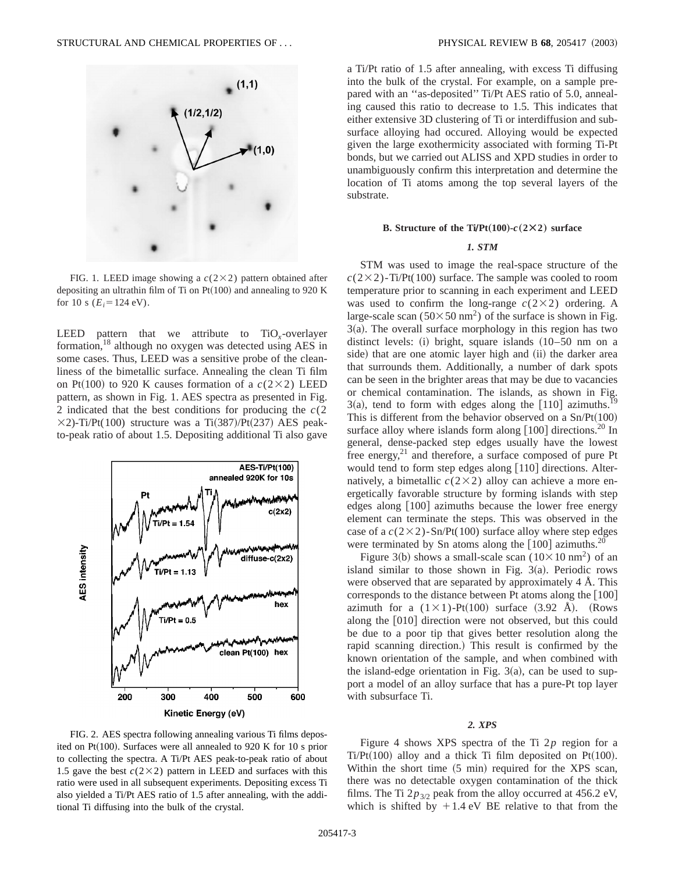

FIG. 1. LEED image showing a  $c(2\times2)$  pattern obtained after depositing an ultrathin film of Ti on Pt $(100)$  and annealing to 920 K for 10 s  $(E_i=124 \text{ eV})$ .

LEED pattern that we attribute to TiO*x*-overlayer formation,18 although no oxygen was detected using AES in some cases. Thus, LEED was a sensitive probe of the cleanliness of the bimetallic surface. Annealing the clean Ti film on Pt(100) to 920 K causes formation of a  $c(2\times2)$  LEED pattern, as shown in Fig. 1. AES spectra as presented in Fig. 2 indicated that the best conditions for producing the *c*(2  $\times$ 2)-Ti/Pt(100) structure was a Ti(387)/Pt(237) AES peakto-peak ratio of about 1.5. Depositing additional Ti also gave



a Ti/Pt ratio of 1.5 after annealing, with excess Ti diffusing into the bulk of the crystal. For example, on a sample prepared with an ''as-deposited'' Ti/Pt AES ratio of 5.0, annealing caused this ratio to decrease to 1.5. This indicates that either extensive 3D clustering of Ti or interdiffusion and subsurface alloying had occured. Alloying would be expected given the large exothermicity associated with forming Ti-Pt bonds, but we carried out ALISS and XPD studies in order to unambiguously confirm this interpretation and determine the location of Ti atoms among the top several layers of the substrate.

#### **B. Structure of the Ti/Pt** $(100)$ - $c(2 \times 2)$  surface

#### *1. STM*

STM was used to image the real-space structure of the  $c(2\times2)$ -Ti/Pt(100) surface. The sample was cooled to room temperature prior to scanning in each experiment and LEED was used to confirm the long-range  $c(2\times2)$  ordering. A large-scale scan ( $50 \times 50$  nm<sup>2</sup>) of the surface is shown in Fig.  $3(a)$ . The overall surface morphology in this region has two distinct levels: (i) bright, square islands  $(10–50$  nm on a side) that are one atomic layer high and (ii) the darker area that surrounds them. Additionally, a number of dark spots can be seen in the brighter areas that may be due to vacancies or chemical contamination. The islands, as shown in Fig.  $3(a)$ , tend to form with edges along the [110] azimuths. This is different from the behavior observed on a  $Sn/Pt(100)$ surface alloy where islands form along  $[100]$  directions.<sup>20</sup> In general, dense-packed step edges usually have the lowest free energy, $^{21}$  and therefore, a surface composed of pure Pt would tend to form step edges along  $[110]$  directions. Alternatively, a bimetallic  $c(2\times2)$  alloy can achieve a more energetically favorable structure by forming islands with step edges along  $[100]$  azimuths because the lower free energy element can terminate the steps. This was observed in the case of a  $c(2\times2)$ -Sn/Pt(100) surface alloy where step edges were terminated by Sn atoms along the  $[100]$  azimuths.<sup>2</sup>

Figure 3(b) shows a small-scale scan ( $10\times10$  nm<sup>2</sup>) of an island similar to those shown in Fig.  $3(a)$ . Periodic rows were observed that are separated by approximately 4 Å. This corresponds to the distance between Pt atoms along the  $[100]$ azimuth for a  $(1 \times 1)$ -Pt $(100)$  surface  $(3.92 \text{ Å})$ . (Rows along the [010] direction were not observed, but this could be due to a poor tip that gives better resolution along the rapid scanning direction.) This result is confirmed by the known orientation of the sample, and when combined with the island-edge orientation in Fig.  $3(a)$ , can be used to support a model of an alloy surface that has a pure-Pt top layer with subsurface Ti.

#### *2. XPS*

FIG. 2. AES spectra following annealing various Ti films deposited on Pt $(100)$ . Surfaces were all annealed to 920 K for 10 s prior to collecting the spectra. A Ti/Pt AES peak-to-peak ratio of about 1.5 gave the best  $c(2\times2)$  pattern in LEED and surfaces with this ratio were used in all subsequent experiments. Depositing excess Ti also yielded a Ti/Pt AES ratio of 1.5 after annealing, with the additional Ti diffusing into the bulk of the crystal.

Figure 4 shows XPS spectra of the Ti 2*p* region for a Ti/Pt $(100)$  alloy and a thick Ti film deposited on Pt $(100)$ . Within the short time  $(5 \text{ min})$  required for the XPS scan, there was no detectable oxygen contamination of the thick films. The Ti  $2p_{3/2}$  peak from the alloy occurred at 456.2 eV, which is shifted by  $+1.4$  eV BE relative to that from the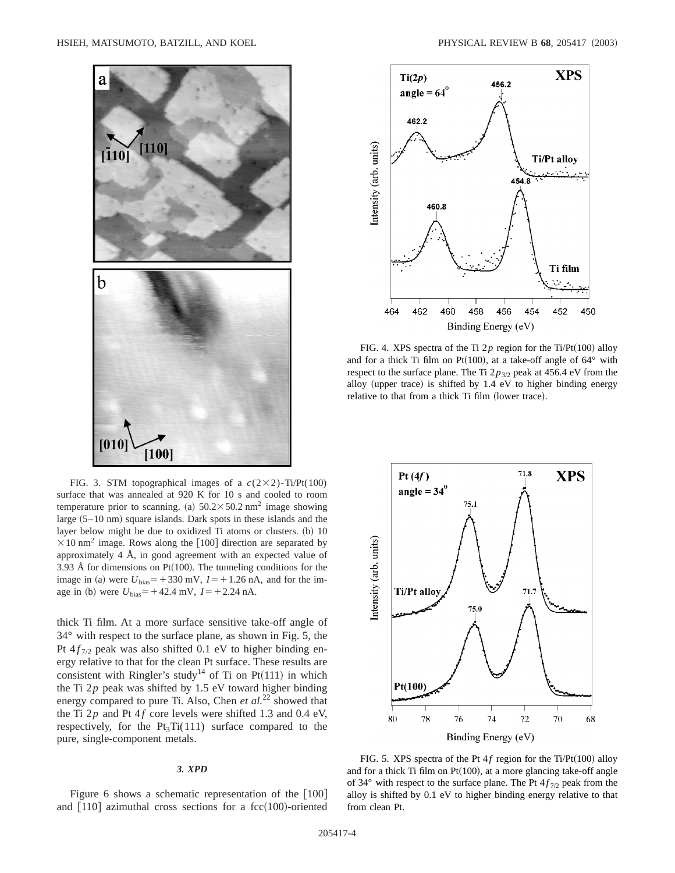

FIG. 3. STM topographical images of a  $c(2\times2)$ -Ti/Pt(100) surface that was annealed at 920 K for 10 s and cooled to room temperature prior to scanning. (a)  $50.2 \times 50.2$  nm<sup>2</sup> image showing large  $(5-10 \text{ nm})$  square islands. Dark spots in these islands and the layer below might be due to oxidized Ti atoms or clusters. (b) 10  $\times$ 10 nm<sup>2</sup> image. Rows along the [100] direction are separated by approximately 4 Å, in good agreement with an expected value of 3.93 Å for dimensions on Pt $(100)$ . The tunneling conditions for the image in (a) were  $U_{bias}$ = +330 mV,  $I$ = +1.26 nA, and for the image in (b) were  $U_{bias}$ = +42.4 mV,  $I$ = +2.24 nA.

thick Ti film. At a more surface sensitive take-off angle of 34° with respect to the surface plane, as shown in Fig. 5, the Pt  $4f_{7/2}$  peak was also shifted 0.1 eV to higher binding energy relative to that for the clean Pt surface. These results are consistent with Ringler's study<sup>14</sup> of Ti on Pt $(111)$  in which the Ti  $2p$  peak was shifted by 1.5 eV toward higher binding energy compared to pure Ti. Also, Chen et al.<sup>22</sup> showed that the Ti  $2p$  and Pt  $4f$  core levels were shifted 1.3 and 0.4 eV, respectively, for the  $Pt_3Ti(111)$  surface compared to the pure, single-component metals.

#### *3. XPD*

Figure 6 shows a schematic representation of the  $[100]$ and  $[110]$  azimuthal cross sections for a fcc $(100)$ -oriented



FIG. 4. XPS spectra of the Ti  $2p$  region for the Ti/Pt(100) alloy and for a thick Ti film on Pt(100), at a take-off angle of  $64^{\circ}$  with respect to the surface plane. The Ti  $2p_{3/2}$  peak at 456.4 eV from the alloy (upper trace) is shifted by  $1.4 \text{ eV}$  to higher binding energy relative to that from a thick Ti film (lower trace).



FIG. 5. XPS spectra of the Pt  $4f$  region for the Ti/Pt(100) alloy and for a thick Ti film on  $Pt(100)$ , at a more glancing take-off angle of 34 $\degree$  with respect to the surface plane. The Pt  $4f_{7/2}$  peak from the alloy is shifted by 0.1 eV to higher binding energy relative to that from clean Pt.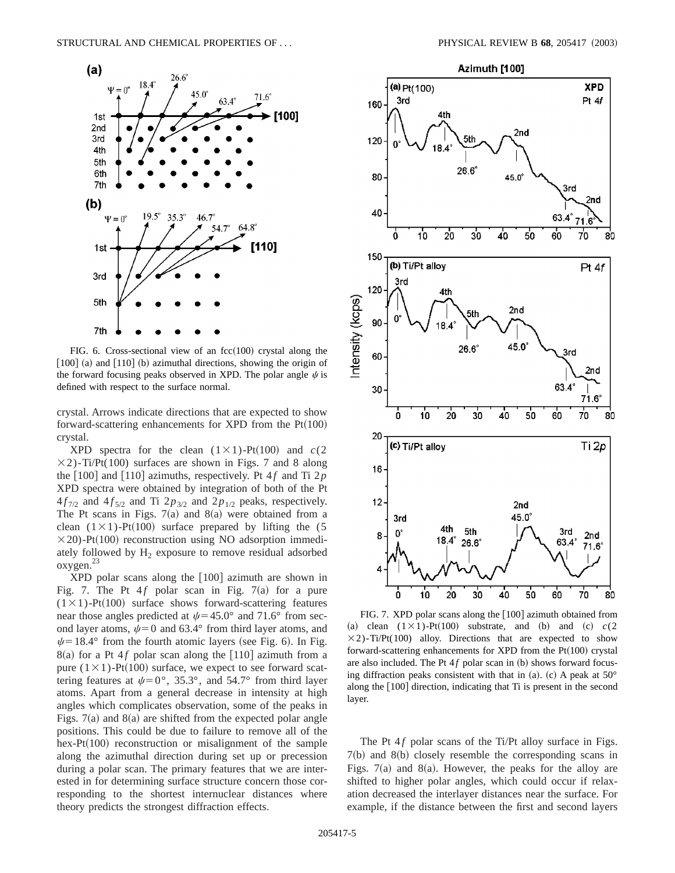

FIG. 6. Cross-sectional view of an  $fcc(100)$  crystal along the  $[100]$  (a) and  $[110]$  (b) azimuthal directions, showing the origin of the forward focusing peaks observed in XPD. The polar angle  $\psi$  is defined with respect to the surface normal.

crystal. Arrows indicate directions that are expected to show forward-scattering enhancements for XPD from the  $Pt(100)$ crystal.

XPD spectra for the clean  $(1 \times 1)$ -Pt $(100)$  and  $c(2)$  $\times$ 2)-Ti/Pt(100) surfaces are shown in Figs. 7 and 8 along the  $\lceil 100 \rceil$  and  $\lceil 110 \rceil$  azimuths, respectively. Pt 4 *f* and Ti 2*p* XPD spectra were obtained by integration of both of the Pt  $4f_{7/2}$  and  $4f_{5/2}$  and Ti  $2p_{3/2}$  and  $2p_{1/2}$  peaks, respectively. The Pt scans in Figs.  $7(a)$  and  $8(a)$  were obtained from a clean  $(1 \times 1)$ -Pt $(100)$  surface prepared by lifting the (5)  $\times$ 20)-Pt(100) reconstruction using NO adsorption immediately followed by  $H<sub>2</sub>$  exposure to remove residual adsorbed oxygen.23

 $XPD$  polar scans along the  $[100]$  azimuth are shown in Fig. 7. The Pt  $4f$  polar scan in Fig. 7(a) for a pure  $(1 \times 1)$ -Pt $(100)$  surface shows forward-scattering features near those angles predicted at  $\psi$ =45.0° and 71.6° from second layer atoms,  $\psi=0$  and 63.4° from third layer atoms, and  $\psi$ =18.4° from the fourth atomic layers (see Fig. 6). In Fig.  $8(a)$  for a Pt 4*f* polar scan along the [110] azimuth from a pure  $(1 \times 1)$ -Pt $(100)$  surface, we expect to see forward scattering features at  $\psi = 0^\circ$ , 35.3°, and 54.7° from third layer atoms. Apart from a general decrease in intensity at high angles which complicates observation, some of the peaks in Figs.  $7(a)$  and  $8(a)$  are shifted from the expected polar angle positions. This could be due to failure to remove all of the hex-Pt $(100)$  reconstruction or misalignment of the sample along the azimuthal direction during set up or precession during a polar scan. The primary features that we are interested in for determining surface structure concern those corresponding to the shortest internuclear distances where theory predicts the strongest diffraction effects.



FIG. 7. XPD polar scans along the  $[100]$  azimuth obtained from (a) clean  $(1 \times 1)$ -Pt $(100)$  substrate, and (b) and (c)  $c(2)$  $\times$ 2)-Ti/Pt(100) alloy. Directions that are expected to show forward-scattering enhancements for XPD from the  $Pt(100)$  crystal are also included. The Pt  $4f$  polar scan in (b) shows forward focusing diffraction peaks consistent with that in (a). (c) A peak at  $50^{\circ}$ along the  $[100]$  direction, indicating that Ti is present in the second layer.

The Pt  $4f$  polar scans of the Ti/Pt alloy surface in Figs.  $7(b)$  and  $8(b)$  closely resemble the corresponding scans in Figs.  $7(a)$  and 8 $(a)$ . However, the peaks for the alloy are shifted to higher polar angles, which could occur if relaxation decreased the interlayer distances near the surface. For example, if the distance between the first and second layers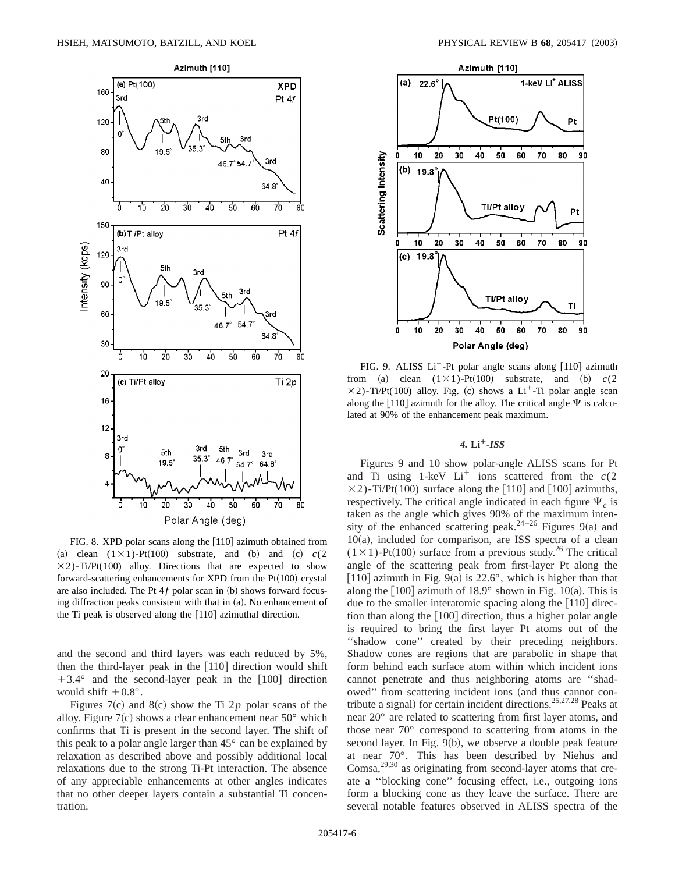

FIG. 8. XPD polar scans along the  $[110]$  azimuth obtained from (a) clean  $(1 \times 1)$ -Pt $(100)$  substrate, and (b) and (c)  $c(2)$  $\times$ 2)-Ti/Pt(100) alloy. Directions that are expected to show forward-scattering enhancements for XPD from the  $Pt(100)$  crystal are also included. The Pt  $4f$  polar scan in (b) shows forward focusing diffraction peaks consistent with that in  $(a)$ . No enhancement of the Ti peak is observed along the  $[110]$  azimuthal direction.

and the second and third layers was each reduced by 5%, then the third-layer peak in the  $[110]$  direction would shift  $+3.4^{\circ}$  and the second-layer peak in the [100] direction would shift  $+0.8^{\circ}$ .

Figures 7(c) and 8(c) show the Ti 2*p* polar scans of the alloy. Figure  $7(c)$  shows a clear enhancement near  $50^{\circ}$  which confirms that Ti is present in the second layer. The shift of this peak to a polar angle larger than 45° can be explained by relaxation as described above and possibly additional local relaxations due to the strong Ti-Pt interaction. The absence of any appreciable enhancements at other angles indicates that no other deeper layers contain a substantial Ti concentration.



FIG. 9. ALISS  $Li^+$ -Pt polar angle scans along [110] azimuth from (a) clean  $(1 \times 1)$ -Pt $(100)$  substrate, and (b)  $c(2)$  $\times$ 2)-Ti/Pt(100) alloy. Fig. (c) shows a Li<sup>+</sup>-Ti polar angle scan along the [110] azimuth for the alloy. The critical angle  $\Psi$  is calculated at 90% of the enhancement peak maximum.

### *4.* **Li¿***-ISS*

Figures 9 and 10 show polar-angle ALISS scans for Pt and Ti using 1-keV  $Li<sup>+</sup>$  ions scattered from the  $c(2)$  $\times$ 2)-Ti/Pt(100) surface along the [110] and [100] azimuths, respectively. The critical angle indicated in each figure  $\Psi_c$  is taken as the angle which gives 90% of the maximum intensity of the enhanced scattering peak.<sup>24–26</sup> Figures 9(a) and  $10(a)$ , included for comparison, are ISS spectra of a clean  $(1 \times 1)$ -Pt $(100)$  surface from a previous study.<sup>26</sup> The critical angle of the scattering peak from first-layer Pt along the [110] azimuth in Fig. 9(a) is 22.6°, which is higher than that along the  $[100]$  azimuth of  $18.9^\circ$  shown in Fig. 10(a). This is due to the smaller interatomic spacing along the  $[110]$  direction than along the  $[100]$  direction, thus a higher polar angle is required to bring the first layer Pt atoms out of the ''shadow cone'' created by their preceding neighbors. Shadow cones are regions that are parabolic in shape that form behind each surface atom within which incident ions cannot penetrate and thus neighboring atoms are ''shadowed" from scattering incident ions (and thus cannot contribute a signal) for certain incident directions.<sup>25,27,28</sup> Peaks at near 20° are related to scattering from first layer atoms, and those near 70° correspond to scattering from atoms in the second layer. In Fig.  $9(b)$ , we observe a double peak feature at near 70°. This has been described by Niehus and  $Comsa<sub>1</sub><sup>29,30</sup>$  as originating from second-layer atoms that create a ''blocking cone'' focusing effect, i.e., outgoing ions form a blocking cone as they leave the surface. There are several notable features observed in ALISS spectra of the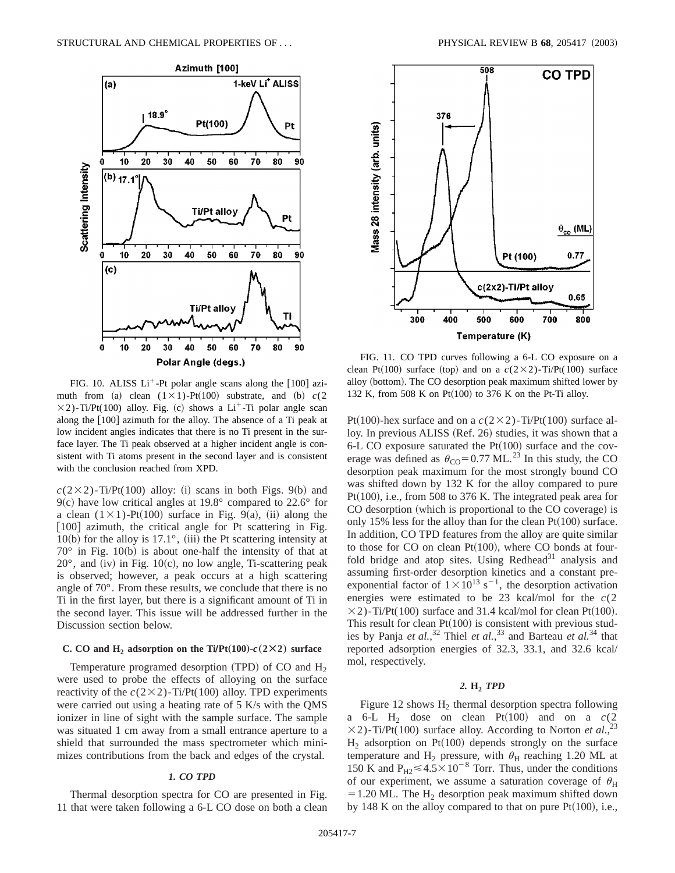

FIG. 10. ALISS  $Li^+$ -Pt polar angle scans along the [100] azimuth from (a) clean  $(1 \times 1)$ -Pt $(100)$  substrate, and (b)  $c(2)$  $\times$ 2)-Ti/Pt(100) alloy. Fig. (c) shows a Li<sup>+</sup>-Ti polar angle scan along the [100] azimuth for the alloy. The absence of a Ti peak at low incident angles indicates that there is no Ti present in the surface layer. The Ti peak observed at a higher incident angle is consistent with Ti atoms present in the second layer and is consistent with the conclusion reached from XPD.

 $c(2\times2)$ -Ti/Pt(100) alloy: (i) scans in both Figs. 9(b) and 9(c) have low critical angles at 19.8° compared to  $22.6$ ° for a clean  $(1 \times 1)$ -Pt $(100)$  surface in Fig. 9(a), (ii) along the  $[100]$  azimuth, the critical angle for Pt scattering in Fig. 10(b) for the alloy is 17.1 $^{\circ}$ , (iii) the Pt scattering intensity at  $70^{\circ}$  in Fig. 10(b) is about one-half the intensity of that at  $20^{\circ}$ , and (iv) in Fig. 10(c), no low angle, Ti-scattering peak is observed; however, a peak occurs at a high scattering angle of 70°. From these results, we conclude that there is no Ti in the first layer, but there is a significant amount of Ti in the second layer. This issue will be addressed further in the Discussion section below.

### **C. CO and H<sub>2</sub> adsorption on the Ti/Pt(100)-** $c(2 \times 2)$  **surface**

Temperature programed desorption (TPD) of CO and  $H_2$ were used to probe the effects of alloying on the surface reactivity of the  $c(2\times2)$ -Ti/Pt(100) alloy. TPD experiments were carried out using a heating rate of 5 K/s with the QMS ionizer in line of sight with the sample surface. The sample was situated 1 cm away from a small entrance aperture to a shield that surrounded the mass spectrometer which minimizes contributions from the back and edges of the crystal.

## *1. CO TPD*

Thermal desorption spectra for CO are presented in Fig. 11 that were taken following a 6-L CO dose on both a clean



FIG. 11. CO TPD curves following a 6-L CO exposure on a clean Pt<sup> $(100)$ </sup> surface (top) and on a  $c(2\times2)$ -Ti/Pt $(100)$  surface alloy (bottom). The CO desorption peak maximum shifted lower by 132 K, from 508 K on Pt $(100)$  to 376 K on the Pt-Ti alloy.

Pt(100)-hex surface and on a  $c(2\times2)$ -Ti/Pt(100) surface alloy. In previous ALISS (Ref. 26) studies, it was shown that a 6-L CO exposure saturated the Pt $(100)$  surface and the coverage was defined as  $\theta_{\rm CO}$ = 0.77 ML.<sup>23</sup> In this study, the CO desorption peak maximum for the most strongly bound CO was shifted down by 132 K for the alloy compared to pure Pt $(100)$ , i.e., from 508 to 376 K. The integrated peak area for CO desorption (which is proportional to the CO coverage) is only 15% less for the alloy than for the clean  $Pt(100)$  surface. In addition, CO TPD features from the alloy are quite similar to those for  $CO$  on clean  $Pt(100)$ , where  $CO$  bonds at fourfold bridge and atop sites. Using  $Redhead<sup>31</sup>$  analysis and assuming first-order desorption kinetics and a constant preexponential factor of  $1 \times 10^{13}$  s<sup>-1</sup>, the desorption activation energies were estimated to be 23 kcal/mol for the *c*(2  $\times$ 2)-Ti/Pt(100) surface and 31.4 kcal/mol for clean Pt(100). This result for clean  $Pt(100)$  is consistent with previous studies by Panja *et al.*, <sup>32</sup> Thiel *et al.*, <sup>33</sup> and Barteau *et al.*<sup>34</sup> that reported adsorption energies of 32.3, 33.1, and 32.6 kcal/ mol, respectively.

# *2.* **H2** *TPD*

Figure 12 shows  $H_2$  thermal desorption spectra following a  $6-L$  H<sub>2</sub> dose on clean Pt $(100)$  and on a  $c(2)$  $\times$ 2)-Ti/Pt(100) surface alloy. According to Norton *et al.*<sup>23</sup>  $H<sub>2</sub>$  adsorption on Pt(100) depends strongly on the surface temperature and H<sub>2</sub> pressure, with  $\theta_H$  reaching 1.20 ML at 150 K and  $P_{H2} \le 4.5 \times 10^{-8}$  Torr. Thus, under the conditions of our experiment, we assume a saturation coverage of  $\theta_H$  $=1.20$  ML. The H<sub>2</sub> desorption peak maximum shifted down by 148 K on the alloy compared to that on pure  $Pt(100)$ , i.e.,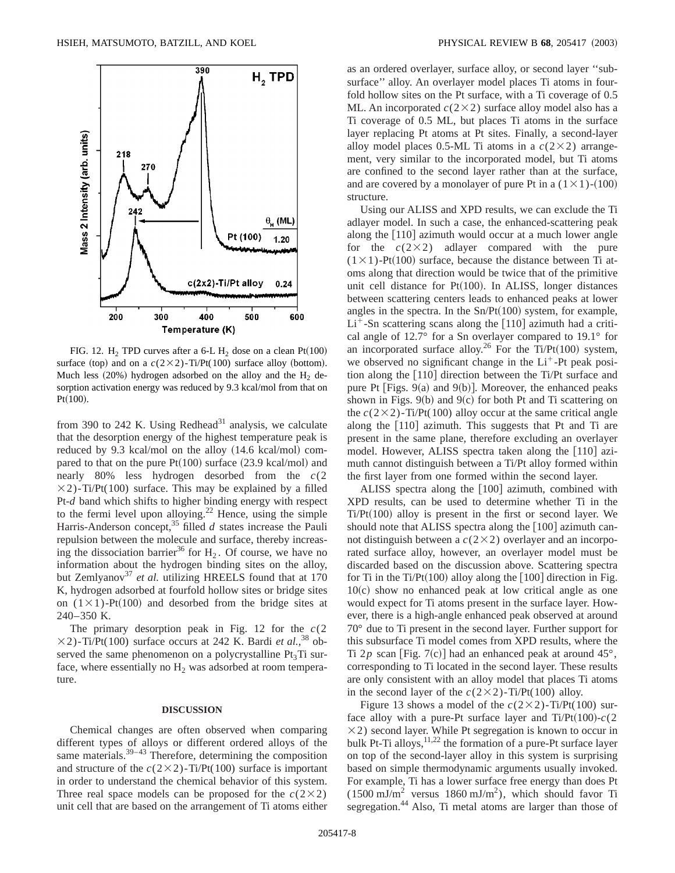

FIG. 12. H<sub>2</sub> TPD curves after a 6-L H<sub>2</sub> dose on a clean Pt(100) surface (top) and on a  $c(2\times2)$ -Ti/Pt(100) surface alloy (bottom). Much less  $(20%)$  hydrogen adsorbed on the alloy and the H<sub>2</sub> desorption activation energy was reduced by 9.3 kcal/mol from that on  $Pt(100)$ .

from 390 to 242 K. Using Redhead<sup>31</sup> analysis, we calculate that the desorption energy of the highest temperature peak is reduced by 9.3 kcal/mol on the alloy  $(14.6 \text{ kcal/mol})$  compared to that on the pure  $Pt(100)$  surface  $(23.9 \text{ kcal/mol})$  and nearly 80% less hydrogen desorbed from the *c*(2  $\times$ 2)-Ti/Pt(100) surface. This may be explained by a filled Pt-*d* band which shifts to higher binding energy with respect to the fermi level upon alloying.<sup>22</sup> Hence, using the simple Harris-Anderson concept,<sup>35</sup> filled *d* states increase the Pauli repulsion between the molecule and surface, thereby increasing the dissociation barrier<sup>36</sup> for  $H_2$ . Of course, we have no information about the hydrogen binding sites on the alloy, but Zemlyanov<sup>37</sup> *et al.* utilizing HREELS found that at 170 K, hydrogen adsorbed at fourfold hollow sites or bridge sites on  $(1 \times 1)$ -Pt $(100)$  and desorbed from the bridge sites at 240–350 K.

The primary desorption peak in Fig. 12 for the *c*(2  $\times$ 2)-Ti/Pt(100) surface occurs at 242 K. Bardi *et al.*,<sup>38</sup> observed the same phenomenon on a polycrystalline  $Pt<sub>3</sub>Ti$  surface, where essentially no  $H_2$  was adsorbed at room temperature.

#### **DISCUSSION**

Chemical changes are often observed when comparing different types of alloys or different ordered alloys of the same materials. $39-43$  Therefore, determining the composition and structure of the  $c(2\times2)$ -Ti/Pt(100) surface is important in order to understand the chemical behavior of this system. Three real space models can be proposed for the  $c(2\times2)$ unit cell that are based on the arrangement of Ti atoms either as an ordered overlayer, surface alloy, or second layer ''subsurface'' alloy. An overlayer model places Ti atoms in fourfold hollow sites on the Pt surface, with a Ti coverage of 0.5 ML. An incorporated  $c(2\times2)$  surface alloy model also has a Ti coverage of 0.5 ML, but places Ti atoms in the surface layer replacing Pt atoms at Pt sites. Finally, a second-layer alloy model places 0.5-ML Ti atoms in a  $c(2\times2)$  arrangement, very similar to the incorporated model, but Ti atoms are confined to the second layer rather than at the surface, and are covered by a monolayer of pure Pt in a  $(1 \times 1)$ - $(100)$ structure.

Using our ALISS and XPD results, we can exclude the Ti adlayer model. In such a case, the enhanced-scattering peak along the  $[110]$  azimuth would occur at a much lower angle for the  $c(2\times2)$  adlayer compared with the pure  $(1 \times 1)$ -Pt $(100)$  surface, because the distance between Ti atoms along that direction would be twice that of the primitive unit cell distance for  $Pt(100)$ . In ALISS, longer distances between scattering centers leads to enhanced peaks at lower angles in the spectra. In the  $Sn/Pt(100)$  system, for example,  $Li<sup>+</sup>$ -Sn scattering scans along the [110] azimuth had a critical angle of 12.7° for a Sn overlayer compared to 19.1° for an incorporated surface alloy.<sup>26</sup> For the Ti/Pt(100) system, we observed no significant change in the  $Li<sup>+</sup>$ -Pt peak position along the  $[110]$  direction between the Ti/Pt surface and pure Pt [Figs.  $9(a)$  and  $9(b)$ ]. Moreover, the enhanced peaks shown in Figs.  $9(b)$  and  $9(c)$  for both Pt and Ti scattering on the  $c(2\times2)$ -Ti/Pt(100) alloy occur at the same critical angle along the  $[110]$  azimuth. This suggests that Pt and Ti are present in the same plane, therefore excluding an overlayer model. However, ALISS spectra taken along the  $[110]$  azimuth cannot distinguish between a Ti/Pt alloy formed within the first layer from one formed within the second layer.

ALISS spectra along the  $[100]$  azimuth, combined with XPD results, can be used to determine whether Ti in the  $Ti/Pt(100)$  alloy is present in the first or second layer. We should note that ALISS spectra along the  $[100]$  azimuth cannot distinguish between a  $c(2\times2)$  overlayer and an incorporated surface alloy, however, an overlayer model must be discarded based on the discussion above. Scattering spectra for Ti in the Ti/Pt(100) alloy along the  $[100]$  direction in Fig.  $10(c)$  show no enhanced peak at low critical angle as one would expect for Ti atoms present in the surface layer. However, there is a high-angle enhanced peak observed at around 70° due to Ti present in the second layer. Further support for this subsurface Ti model comes from XPD results, where the Ti  $2p$  scan [Fig. 7(c)] had an enhanced peak at around  $45^{\circ}$ , corresponding to Ti located in the second layer. These results are only consistent with an alloy model that places Ti atoms in the second layer of the  $c(2\times2)$ -Ti/Pt(100) alloy.

Figure 13 shows a model of the  $c(2\times2)$ -Ti/Pt(100) surface alloy with a pure-Pt surface layer and  $Ti/Pt(100)$ -*c*(2)  $\times$ 2) second layer. While Pt segregation is known to occur in bulk Pt-Ti alloys,  $11,22$  the formation of a pure-Pt surface layer on top of the second-layer alloy in this system is surprising based on simple thermodynamic arguments usually invoked. For example, Ti has a lower surface free energy than does Pt  $(1500 \text{ mJ/m}^2 \text{ versus } 1860 \text{ mJ/m}^2)$ , which should favor Ti segregation.<sup>44</sup> Also, Ti metal atoms are larger than those of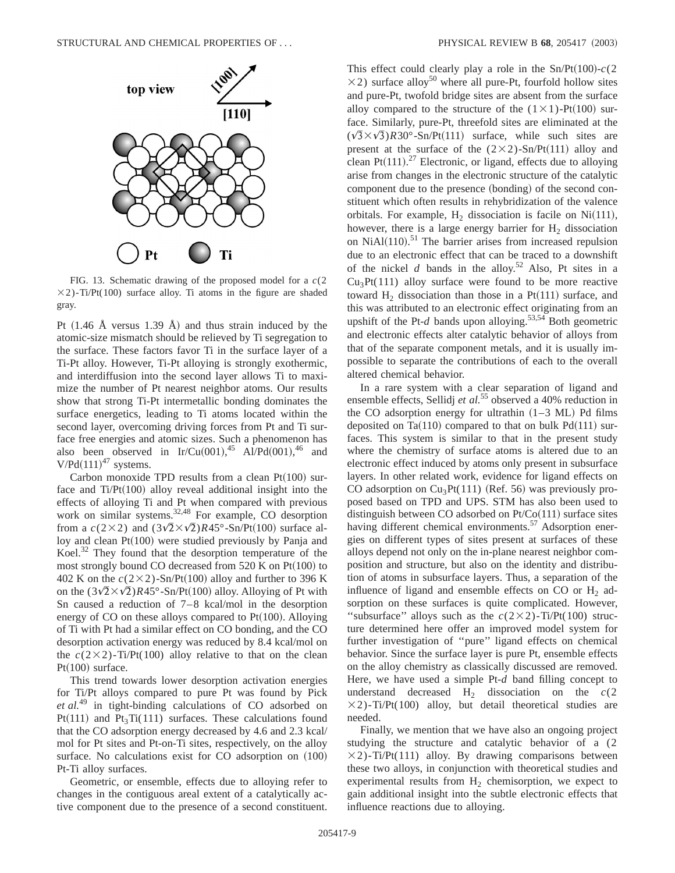

FIG. 13. Schematic drawing of the proposed model for a *c*(2  $\times$ 2)-Ti/Pt(100) surface alloy. Ti atoms in the figure are shaded gray.

Pt  $(1.46 \text{ Å}$  versus 1.39 Å) and thus strain induced by the atomic-size mismatch should be relieved by Ti segregation to the surface. These factors favor Ti in the surface layer of a Ti-Pt alloy. However, Ti-Pt alloying is strongly exothermic, and interdiffusion into the second layer allows Ti to maximize the number of Pt nearest neighbor atoms. Our results show that strong Ti-Pt intermetallic bonding dominates the surface energetics, leading to Ti atoms located within the second layer, overcoming driving forces from Pt and Ti surface free energies and atomic sizes. Such a phenomenon has also been observed in Ir/Cu(001),<sup>45</sup> Al/Pd(001),<sup>46</sup> and  $V/Pd(111)^{47}$  systems.

Carbon monoxide TPD results from a clean  $Pt(100)$  surface and  $Ti/Pt(100)$  alloy reveal additional insight into the effects of alloying Ti and Pt when compared with previous work on similar systems.<sup>32,48</sup> For example, CO desorption from a  $c(2\times2)$  and  $(3\sqrt{2}\times\sqrt{2})R45^\circ$ -Sn/Pt(100) surface alloy and clean  $Pt(100)$  were studied previously by Panja and Koel.<sup>32</sup> They found that the desorption temperature of the most strongly bound CO decreased from  $520$  K on Pt $(100)$  to 402 K on the  $c(2\times2)$ -Sn/Pt(100) alloy and further to 396 K on the  $(3\sqrt{2} \times \sqrt{2})R45^{\circ}$ -Sn/Pt(100) alloy. Alloying of Pt with Sn caused a reduction of 7–8 kcal/mol in the desorption energy of CO on these alloys compared to  $Pt(100)$ . Alloying of Ti with Pt had a similar effect on CO bonding, and the CO desorption activation energy was reduced by 8.4 kcal/mol on the  $c(2\times2)$ -Ti/Pt(100) alloy relative to that on the clean Pt $(100)$  surface.

This trend towards lower desorption activation energies for Ti/Pt alloys compared to pure Pt was found by Pick *et al.*<sup>49</sup> in tight-binding calculations of CO adsorbed on  $Pt(111)$  and  $Pt_3Ti(111)$  surfaces. These calculations found that the CO adsorption energy decreased by 4.6 and 2.3 kcal/ mol for Pt sites and Pt-on-Ti sites, respectively, on the alloy surface. No calculations exist for  $CO$  adsorption on  $(100)$ Pt-Ti alloy surfaces.

Geometric, or ensemble, effects due to alloying refer to changes in the contiguous areal extent of a catalytically active component due to the presence of a second constituent. This effect could clearly play a role in the Sn/Pt(100)- $c(2)$  $\times$ 2) surface alloy<sup>50</sup> where all pure-Pt, fourfold hollow sites and pure-Pt, twofold bridge sites are absent from the surface alloy compared to the structure of the  $(1 \times 1)$ -Pt $(100)$  surface. Similarly, pure-Pt, threefold sites are eliminated at the  $(\sqrt{3} \times \sqrt{3})R30^{\circ}$ -Sn/Pt(111) surface, while such sites are present at the surface of the  $(2\times2)$ -Sn/Pt $(111)$  alloy and clean Pt $(111).^{27}$  Electronic, or ligand, effects due to alloying arise from changes in the electronic structure of the catalytic component due to the presence (bonding) of the second constituent which often results in rehybridization of the valence orbitals. For example,  $H_2$  dissociation is facile on Ni(111), however, there is a large energy barrier for  $H_2$  dissociation on NiAl $(110)$ .<sup>51</sup> The barrier arises from increased repulsion due to an electronic effect that can be traced to a downshift of the nickel  $d$  bands in the alloy.<sup>52</sup> Also, Pt sites in a  $Cu<sub>3</sub>Pt(111)$  alloy surface were found to be more reactive toward  $H_2$  dissociation than those in a Pt $(111)$  surface, and this was attributed to an electronic effect originating from an upshift of the Pt- $d$  bands upon alloying.<sup>53,54</sup> Both geometric and electronic effects alter catalytic behavior of alloys from that of the separate component metals, and it is usually impossible to separate the contributions of each to the overall altered chemical behavior.

In a rare system with a clear separation of ligand and ensemble effects, Sellidj *et al.*<sup>55</sup> observed a 40% reduction in the CO adsorption energy for ultrathin  $(1-3 \text{ ML})$  Pd films deposited on Ta(110) compared to that on bulk Pd(111) surfaces. This system is similar to that in the present study where the chemistry of surface atoms is altered due to an electronic effect induced by atoms only present in subsurface layers. In other related work, evidence for ligand effects on CO adsorption on  $Cu<sub>3</sub>Pt(111)$  (Ref. 56) was previously proposed based on TPD and UPS. STM has also been used to distinguish between CO adsorbed on  $Pt/Co(111)$  surface sites having different chemical environments.<sup>57</sup> Adsorption energies on different types of sites present at surfaces of these alloys depend not only on the in-plane nearest neighbor composition and structure, but also on the identity and distribution of atoms in subsurface layers. Thus, a separation of the influence of ligand and ensemble effects on  $CO$  or  $H<sub>2</sub>$  adsorption on these surfaces is quite complicated. However, "subsurface" alloys such as the  $c(2\times2)$ -Ti/Pt(100) structure determined here offer an improved model system for further investigation of ''pure'' ligand effects on chemical behavior. Since the surface layer is pure Pt, ensemble effects on the alloy chemistry as classically discussed are removed. Here, we have used a simple Pt-*d* band filling concept to understand decreased  $H_2$  dissociation on the  $c(2)$  $\times$ 2)-Ti/Pt(100) alloy, but detail theoretical studies are needed.

Finally, we mention that we have also an ongoing project studying the structure and catalytic behavior of a (2  $\times$ 2)-Ti/Pt(111) alloy. By drawing comparisons between these two alloys, in conjunction with theoretical studies and experimental results from  $H_2$  chemisorption, we expect to gain additional insight into the subtle electronic effects that influence reactions due to alloying.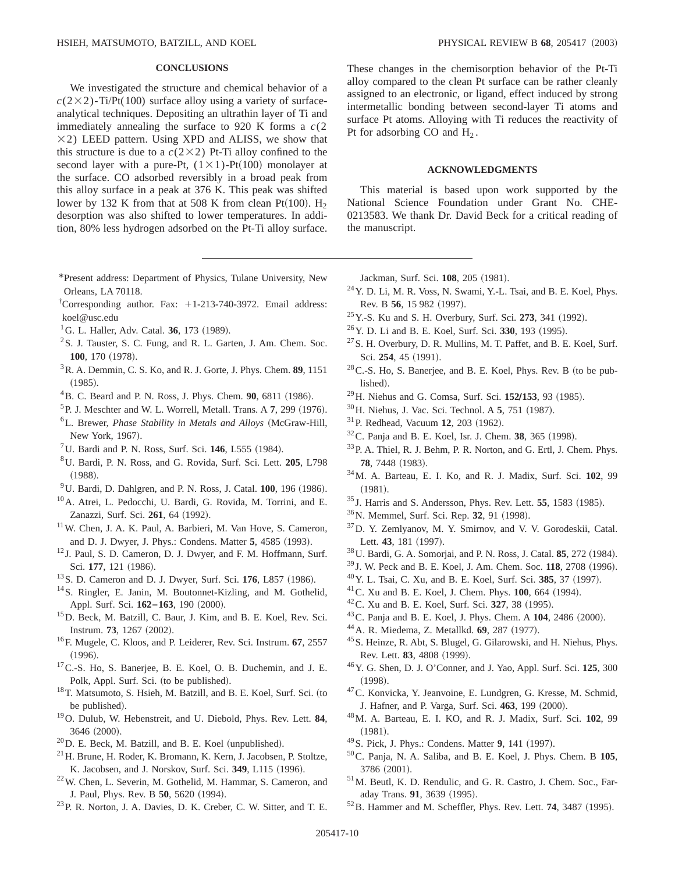# **CONCLUSIONS**

We investigated the structure and chemical behavior of a  $c(2\times2)$ -Ti/Pt(100) surface alloy using a variety of surfaceanalytical techniques. Depositing an ultrathin layer of Ti and immediately annealing the surface to 920 K forms a *c*(2  $\times$ 2) LEED pattern. Using XPD and ALISS, we show that this structure is due to a  $c(2\times2)$  Pt-Ti alloy confined to the second layer with a pure-Pt,  $(1 \times 1)$ -Pt $(100)$  monolayer at the surface. CO adsorbed reversibly in a broad peak from this alloy surface in a peak at 376 K. This peak was shifted lower by 132 K from that at 508 K from clean Pt(100). H<sub>2</sub> desorption was also shifted to lower temperatures. In addition, 80% less hydrogen adsorbed on the Pt-Ti alloy surface.

- \*Present address: Department of Physics, Tulane University, New Orleans, LA 70118.
- <sup>†</sup>Corresponding author. Fax: +1-213-740-3972. Email address: koel@usc.edu
- <sup>1</sup>G. L. Haller, Adv. Catal. **36**, 173 (1989).
- <sup>2</sup>S. J. Tauster, S. C. Fung, and R. L. Garten, J. Am. Chem. Soc. **100**, 170 (1978).
- 3R. A. Demmin, C. S. Ko, and R. J. Gorte, J. Phys. Chem. **89**, 1151  $(1985).$
- <sup>4</sup>B. C. Beard and P. N. Ross, J. Phys. Chem. **90**, 6811 (1986).
- $5P.$  J. Meschter and W. L. Worrell, Metall. Trans. A  $7, 299$  (1976).
- <sup>6</sup>L. Brewer, *Phase Stability in Metals and Alloys* (McGraw-Hill, New York, 1967).
- <sup>7</sup>U. Bardi and P. N. Ross, Surf. Sci.  $146$ , L555  $(1984)$ .
- 8U. Bardi, P. N. Ross, and G. Rovida, Surf. Sci. Lett. **205**, L798  $(1988).$
- $^{9}$ U. Bardi, D. Dahlgren, and P. N. Ross, J. Catal. **100**, 196 (1986).
- 10A. Atrei, L. Pedocchi, U. Bardi, G. Rovida, M. Torrini, and E. Zanazzi, Surf. Sci. 261, 64 (1992).
- 11W. Chen, J. A. K. Paul, A. Barbieri, M. Van Hove, S. Cameron, and D. J. Dwyer, J. Phys.: Condens. Matter **5**, 4585 (1993).
- <sup>12</sup> J. Paul, S. D. Cameron, D. J. Dwyer, and F. M. Hoffmann, Surf. Sci. 177, 121 (1986).
- <sup>13</sup> S. D. Cameron and D. J. Dwyer, Surf. Sci. **176**, L857 (1986).
- <sup>14</sup>S. Ringler, E. Janin, M. Boutonnet-Kizling, and M. Gothelid, Appl. Surf. Sci.  $162-163$ , 190 (2000).
- 15D. Beck, M. Batzill, C. Baur, J. Kim, and B. E. Koel, Rev. Sci. Instrum. **73**, 1267 (2002).
- 16F. Mugele, C. Kloos, and P. Leiderer, Rev. Sci. Instrum. **67**, 2557  $(1996).$
- 17C.-S. Ho, S. Banerjee, B. E. Koel, O. B. Duchemin, and J. E. Polk, Appl. Surf. Sci. (to be published).
- $18$ T. Matsumoto, S. Hsieh, M. Batzill, and B. E. Koel, Surf. Sci. (to be published).
- 19O. Dulub, W. Hebenstreit, and U. Diebold, Phys. Rev. Lett. **84**, 3646 (2000).
- $^{20}$ D. E. Beck, M. Batzill, and B. E. Koel (unpublished).
- 21H. Brune, H. Roder, K. Bromann, K. Kern, J. Jacobsen, P. Stoltze, K. Jacobsen, and J. Norskov, Surf. Sci. 349, L115 (1996).
- 22W. Chen, L. Severin, M. Gothelid, M. Hammar, S. Cameron, and J. Paul, Phys. Rev. B **50**, 5620 (1994).
- 23P. R. Norton, J. A. Davies, D. K. Creber, C. W. Sitter, and T. E.

These changes in the chemisorption behavior of the Pt-Ti alloy compared to the clean Pt surface can be rather cleanly assigned to an electronic, or ligand, effect induced by strong intermetallic bonding between second-layer Ti atoms and surface Pt atoms. Alloying with Ti reduces the reactivity of Pt for adsorbing CO and  $H_2$ .

# **ACKNOWLEDGMENTS**

This material is based upon work supported by the National Science Foundation under Grant No. CHE-0213583. We thank Dr. David Beck for a critical reading of the manuscript.

Jackman, Surf. Sci. 108, 205 (1981).

- 24Y. D. Li, M. R. Voss, N. Swami, Y.-L. Tsai, and B. E. Koel, Phys. Rev. B 56, 15 982 (1997).
- <sup>25</sup> Y.-S. Ku and S. H. Overbury, Surf. Sci. **273**, 341 (1992).
- <sup>26</sup> Y. D. Li and B. E. Koel, Surf. Sci. **330**, 193 (1995).
- $^{27}$ S. H. Overbury, D. R. Mullins, M. T. Paffet, and B. E. Koel, Surf. Sci. 254, 45 (1991).
- $28$ C.-S. Ho, S. Banerjee, and B. E. Koel, Phys. Rev. B (to be published).
- <sup>29</sup>H. Niehus and G. Comsa, Surf. Sci. **152/153**, 93 (1985).
- <sup>30</sup>H. Niehus, J. Vac. Sci. Technol. A **5**, 751 (1987).
- <sup>31</sup> P. Redhead, Vacuum **12**, 203 (1962).
- $32^{\circ}$ C. Panja and B. E. Koel, Isr. J. Chem. **38**, 365 (1998).
- 33P. A. Thiel, R. J. Behm, P. R. Norton, and G. Ertl, J. Chem. Phys. **78.** 7448 (1983).
- 34M. A. Barteau, E. I. Ko, and R. J. Madix, Surf. Sci. **102**, 99  $(1981).$
- <sup>35</sup> J. Harris and S. Andersson, Phys. Rev. Lett. **55**, 1583 (1985).
- <sup>36</sup>N. Memmel, Surf. Sci. Rep. **32**, 91 (1998).
- 37D. Y. Zemlyanov, M. Y. Smirnov, and V. V. Gorodeskii, Catal. Lett. 43, 181 (1997).
- <sup>38</sup> U. Bardi, G. A. Somorjai, and P. N. Ross, J. Catal. **85**, 272 (1984).
- <sup>39</sup> J. W. Peck and B. E. Koel, J. Am. Chem. Soc. **118**, 2708 (1996).
- <sup>40</sup> Y. L. Tsai, C. Xu, and B. E. Koel, Surf. Sci. 385, 37 (1997).
- $^{41}$ C. Xu and B. E. Koel, J. Chem. Phys.  $100, 664$  (1994).
- <sup>42</sup> C. Xu and B. E. Koel, Surf. Sci. **327**, 38 (1995).
- <sup>43</sup> C. Panja and B. E. Koel, J. Phys. Chem. A **104**, 2486 (2000).
- <sup>44</sup> A. R. Miedema, Z. Metallkd. **69**, 287 (1977).
- 45S. Heinze, R. Abt, S. Blugel, G. Gilarowski, and H. Niehus, Phys. Rev. Lett. **83**, 4808 (1999).
- 46Y. G. Shen, D. J. O'Conner, and J. Yao, Appl. Surf. Sci. **125**, 300  $(1998).$
- 47C. Konvicka, Y. Jeanvoine, E. Lundgren, G. Kresse, M. Schmid, J. Hafner, and P. Varga, Surf. Sci. 463, 199 (2000).
- 48M. A. Barteau, E. I. KO, and R. J. Madix, Surf. Sci. **102**, 99  $(1981).$
- <sup>49</sup> S. Pick, J. Phys.: Condens. Matter 9, 141 (1997).
- 50C. Panja, N. A. Saliba, and B. E. Koel, J. Phys. Chem. B **105**, 3786 (2001).
- 51M. Beutl, K. D. Rendulic, and G. R. Castro, J. Chem. Soc., Faraday Trans. 91, 3639 (1995).
- $52$  B. Hammer and M. Scheffler, Phys. Rev. Lett. **74**, 3487 (1995).